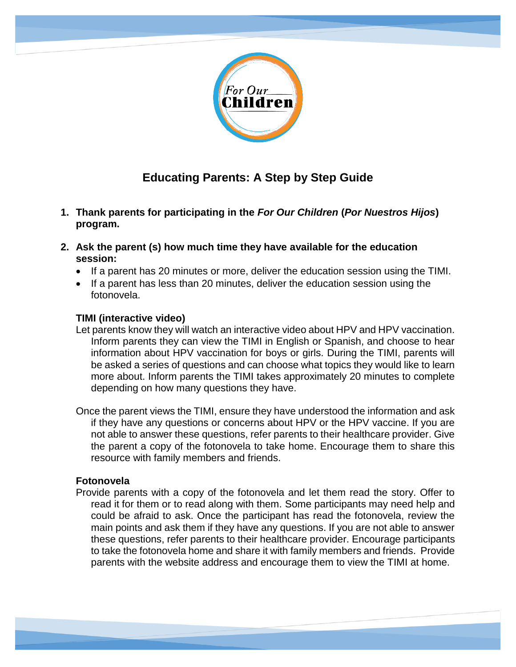

## **Educating Parents: A Step by Step Guide**

- **1. Thank parents for participating in the** *For Our Children* **(***Por Nuestros Hijos***) program.**
- **2. Ask the parent (s) how much time they have available for the education session:**
	- If a parent has 20 minutes or more, deliver the education session using the TIMI.
	- If a parent has less than 20 minutes, deliver the education session using the fotonovela.

## **TIMI (interactive video)**

Let parents know they will watch an interactive video about HPV and HPV vaccination. Inform parents they can view the TIMI in English or Spanish, and choose to hear information about HPV vaccination for boys or girls. During the TIMI, parents will be asked a series of questions and can choose what topics they would like to learn more about. Inform parents the TIMI takes approximately 20 minutes to complete depending on how many questions they have.

Once the parent views the TIMI, ensure they have understood the information and ask if they have any questions or concerns about HPV or the HPV vaccine. If you are not able to answer these questions, refer parents to their healthcare provider. Give the parent a copy of the fotonovela to take home. Encourage them to share this resource with family members and friends.

## **Fotonovela**

Provide parents with a copy of the fotonovela and let them read the story. Offer to read it for them or to read along with them. Some participants may need help and could be afraid to ask. Once the participant has read the fotonovela, review the main points and ask them if they have any questions. If you are not able to answer these questions, refer parents to their healthcare provider. Encourage participants to take the fotonovela home and share it with family members and friends. Provide parents with the website address and encourage them to view the TIMI at home.